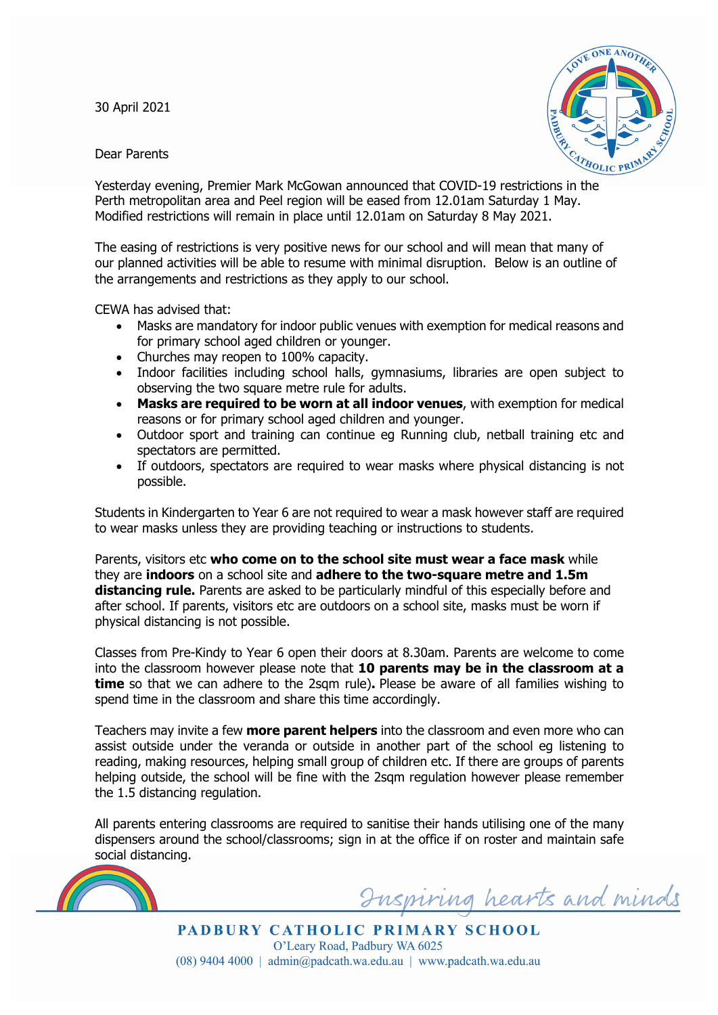30 April 2021



Dear Parents

Yesterday evening, Premier Mark McGowan announced that COVID-19 restrictions in the Perth metropolitan area and Peel region will be eased from 12.01am Saturday 1 May. Modified restrictions will remain in place until 12.01am on Saturday 8 May 2021.

The easing of restrictions is very positive news for our school and will mean that many of our planned activities will be able to resume with minimal disruption. Below is an outline of the arrangements and restrictions as they apply to our school.

CEWA has advised that:

- Masks are mandatory for indoor public venues with exemption for medical reasons and for primary school aged children or younger.
- Churches may reopen to 100% capacity.
- Indoor facilities including school halls, gymnasiums, libraries are open subject to observing the two square metre rule for adults.
- **Masks are required to be worn at all indoor venues**, with exemption for medical reasons or for primary school aged children and younger.
- Outdoor sport and training can continue eg Running club, netball training etc and spectators are permitted.
- If outdoors, spectators are required to wear masks where physical distancing is not possible.

Parents, visitors etc who come on to the school site must wear a face mask while they are **indoors** on a school site and **adhere to the two-square metre and 1.5m distancing rule.** Parents are asked to be particularly mindful of this especially before and after school. If parents, visitors etc are outdoors on a school site, masks must be worn if physical distancing is not possible.

Students in Kindergarten to Year 6 are not required to wear a mask however staff are required to wear masks unless they are providing teaching or instructions to students.

Classes from Pre-Kindy to Year 6 open their doors at 8.30am. Parents are welcome to come into the classroom however please note that **10 parents may be in the classroom at a time** so that we can adhere to the 2sqm rule)**.** Please be aware of all families wishing to spend time in the classroom and share this time accordingly.

Teachers may invite a few **more parent helpers** into the classroom and even more who can assist outside under the veranda or outside in another part of the school eg listening to reading, making resources, helping small group of children etc. If there are groups of parents helping outside, the school will be fine with the 2sqm regulation however please remember the 1.5 distancing regulation.

All parents entering classrooms are required to sanitise their hands utilising one of the many dispensers around the school/classrooms; sign in at the office if on roster and maintain safe social distancing.



Inspiring hearts and minds

**PADBURY CATHOLIC PRIMARY SCHOOL** O'Leary Road, Padbury WA 6025  $(08)$  9404 4000 | admin@padcath.wa.edu.au | www.padcath.wa.edu.au